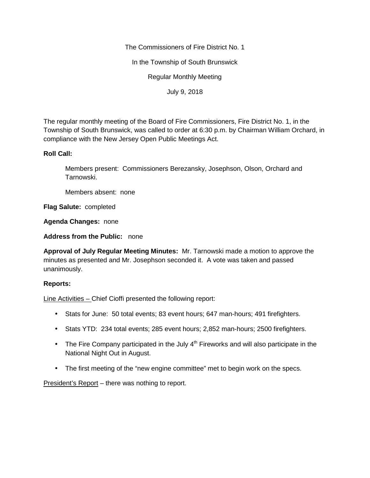The Commissioners of Fire District No. 1

In the Township of South Brunswick

Regular Monthly Meeting

July 9, 2018

The regular monthly meeting of the Board of Fire Commissioners, Fire District No. 1, in the Township of South Brunswick, was called to order at 6:30 p.m. by Chairman William Orchard, in compliance with the New Jersey Open Public Meetings Act.

## **Roll Call:**

Members present: Commissioners Berezansky, Josephson, Olson, Orchard and Tarnowski.

Members absent: none

**Flag Salute:** completed

**Agenda Changes:** none

**Address from the Public:** none

**Approval of July Regular Meeting Minutes:** Mr. Tarnowski made a motion to approve the minutes as presented and Mr. Josephson seconded it. A vote was taken and passed unanimously.

## **Reports:**

Line Activities – Chief Cioffi presented the following report:

- Stats for June: 50 total events; 83 event hours; 647 man-hours; 491 firefighters.
- Stats YTD: 234 total events; 285 event hours; 2,852 man-hours; 2500 firefighters.
- The Fire Company participated in the July  $4<sup>th</sup>$  Fireworks and will also participate in the National Night Out in August.
- The first meeting of the "new engine committee" met to begin work on the specs.

President's Report – there was nothing to report.